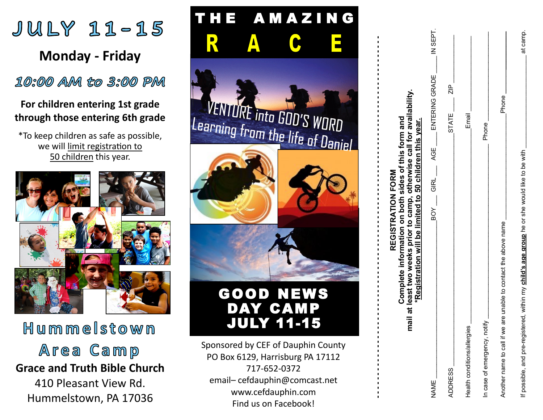

### **For children entering 1st grade through those entering 6th grade**

\*To keep children as safe as possible, we will limit registration to 50 children this year.



# Hummelstown

Area Camp **Grace and Truth Bible Church** 410 Pleasant View Rd.

Hummelstown, PA 17036



| mail at least two weeks prior to camp, otherwise call for availability.<br>Complete information on both sides of this form and<br>*Registration will be limited to 50 children this year.<br>REGISTRATION FORM |                               |
|----------------------------------------------------------------------------------------------------------------------------------------------------------------------------------------------------------------|-------------------------------|
| BOY GIRL AGE ENTERING GRADE<br>NAME                                                                                                                                                                            | IN SEPT.                      |
| <b>ADDRESS</b>                                                                                                                                                                                                 | $\frac{p}{\sqrt{2}}$<br>STATE |
| Health conditions/allergies                                                                                                                                                                                    | Email                         |
| In case of emergency, notify                                                                                                                                                                                   | <b>Phone</b>                  |
| Another name to call if we are unable to contact the above name                                                                                                                                                | Phone                         |
| If possible, and pre-registered, within my <b>child's age group</b> he or she would like to be with                                                                                                            | at camp.                      |